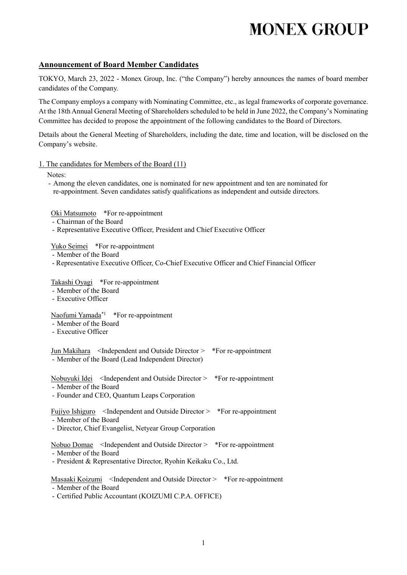# **MONEX GROUP**

## **Announcement of Board Member Candidates**

TOKYO, March 23, 2022 - Monex Group, Inc. ("the Company") hereby announces the names of board member candidates of the Company.

The Company employs a company with Nominating Committee, etc., as legal frameworks of corporate governance. At the 18th Annual General Meeting of Shareholders scheduled to be held in June 2022, the Company's Nominating Committee has decided to propose the appointment of the following candidates to the Board of Directors.

Details about the General Meeting of Shareholders, including the date, time and location, will be disclosed on the Company's website.

#### 1. The candidates for Members of the Board (11)

Notes:

- Among the eleven candidates, one is nominated for new appointment and ten are nominated for re-appointment. Seven candidates satisfy qualifications as independent and outside directors.

Oki Matsumoto \*For re-appointment

- Chairman of the Board
- Representative Executive Officer, President and Chief Executive Officer

Yuko Seimei \*For re-appointment

- Member of the Board
- Representative Executive Officer, Co-Chief Executive Officer and Chief Financial Officer

### Takashi Oyagi \*For re-appointment

- Member of the Board
- Executive Officer

### Naofumi Yamada\*1 \*For re-appointment

- Member of the Board
- Executive Officer

Jun Makihara <Independent and Outside Director > \*For re-appointment - Member of the Board (Lead Independent Director)

Nobuyuki Idei <Independent and Outside Director > \*For re-appointment

- Member of the Board
- Founder and CEO, Quantum Leaps Corporation

Fujiyo Ishiguro <Independent and Outside Director > \*For re-appointment

- Member of the Board
- Director, Chief Evangelist, Netyear Group Corporation

Nobuo Domae <Independent and Outside Director > \*For re-appointment

- Member of the Board

- President & Representative Director, Ryohin Keikaku Co., Ltd.

Masaaki Koizumi <Independent and Outside Director > \*For re-appointment

- Member of the Board

- Certified Public Accountant (KOIZUMI C.P.A. OFFICE)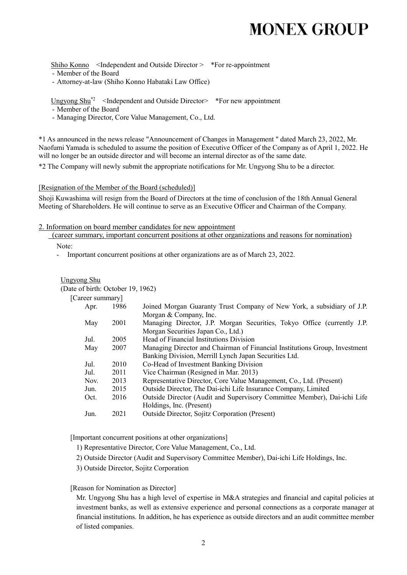## **MONEX GROUP**

Shiho Konno <Independent and Outside Director > \*For re-appointment

- Member of the Board
- Attorney-at-law (Shiho Konno Habataki Law Office)

Ungyong  $\text{Shu}^{2}$  <Independent and Outside Director> \*For new appointment

- Member of the Board
- Managing Director, Core Value Management, Co., Ltd.

\*1 As announced in the news release "Announcement of Changes in Management " dated March 23, 2022, Mr. Naofumi Yamada is scheduled to assume the position of Executive Officer of the Company as of April 1, 2022. He will no longer be an outside director and will become an internal director as of the same date.

\*2 The Company will newly submit the appropriate notifications for Mr. Ungyong Shu to be a director.

#### [Resignation of the Member of the Board (scheduled)]

Shoji Kuwashima will resign from the Board of Directors at the time of conclusion of the 18th Annual General Meeting of Shareholders. He will continue to serve as an Executive Officer and Chairman of the Company.

- 2. Information on board member candidates for new appointment
	- (career summary, important concurrent positions at other organizations and reasons for nomination)

Note:

- Important concurrent positions at other organizations are as of March 23, 2022.

| <b>Ungyong Shu</b>                |  |
|-----------------------------------|--|
| (Date of birth: October 19, 1962) |  |

|  | [Career summary] |
|--|------------------|
|--|------------------|

| Apr. | 1986 | Joined Morgan Guaranty Trust Company of New York, a subsidiary of J.P.     |
|------|------|----------------------------------------------------------------------------|
|      |      | Morgan & Company, Inc.                                                     |
| May  | 2001 | Managing Director, J.P. Morgan Securities, Tokyo Office (currently J.P.    |
|      |      | Morgan Securities Japan Co., Ltd.)                                         |
| Jul. | 2005 | Head of Financial Institutions Division                                    |
| May  | 2007 | Managing Director and Chairman of Financial Institutions Group, Investment |
|      |      | Banking Division, Merrill Lynch Japan Securities Ltd.                      |
| Jul. | 2010 | Co-Head of Investment Banking Division                                     |
| Jul. | 2011 | Vice Chairman (Resigned in Mar. 2013)                                      |
| Nov. | 2013 | Representative Director, Core Value Management, Co., Ltd. (Present)        |
| Jun. | 2015 | Outside Director, The Dai-ichi Life Insurance Company, Limited             |
| Oct. | 2016 | Outside Director (Audit and Supervisory Committee Member), Dai-ichi Life   |
|      |      | Holdings, Inc. (Present)                                                   |
| Jun. | 2021 | <b>Outside Director, Sojitz Corporation (Present)</b>                      |
|      |      |                                                                            |

[Important concurrent positions at other organizations]

- 1) Representative Director, Core Value Management, Co., Ltd.
- 2) Outside Director (Audit and Supervisory Committee Member), Dai-ichi Life Holdings, Inc.
- 3) Outside Director, Sojitz Corporation

#### [Reason for Nomination as Director]

Mr. Ungyong Shu has a high level of expertise in M&A strategies and financial and capital policies at investment banks, as well as extensive experience and personal connections as a corporate manager at financial institutions. In addition, he has experience as outside directors and an audit committee member of listed companies.